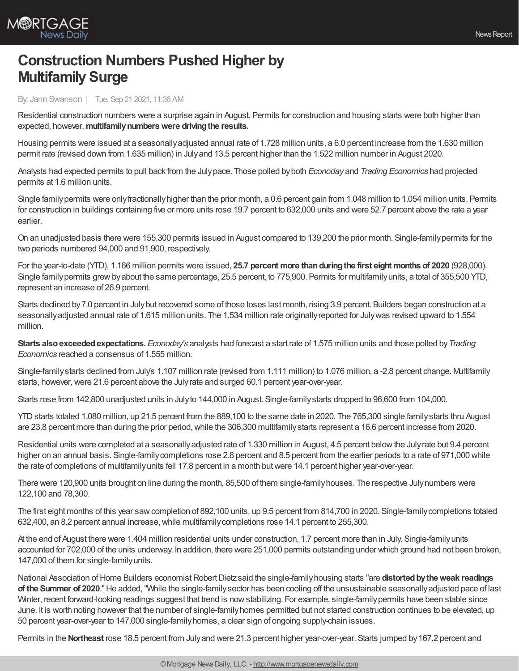

## **Construction Numbers Pushed Higher by Multifamily Surge**

By: Jann Swanson | Tue, Sep 21 2021, 11:36 AM

Residential construction numbers were a surprise again in August. Permits for construction and housing starts were both higher than expected, however,**multifamilynumberswere drivingthe results.**

Housing permits were issued at a seasonallyadjusted annual rate of 1.728 million units, a 6.0 percent increase from the 1.630 million permit rate (revised down from 1.635 million) in Julyand 13.5 percent higher than the 1.522 million number in August 2020.

Analysts had expected permits to pull back from the Julypace. Those polled byboth *Econoday* and *Trading Economics* had projected permits at 1.6 million units.

Single familypermits were onlyfractionallyhigher than the prior month, a 0.6 percent gain from 1.048 million to 1.054 million units. Permits for construction in buildings containing five or more units rose 19.7 percent to 632,000 units and were 52.7 percent above the rate a year earlier.

On an unadjusted basis there were 155,300 permits issued in August compared to 139,200 the prior month. Single-familypermits for the two periods numbered 94,000 and 91,900, respectively.

For the year-to-date (YTD), 1.166 million permits were issued, **25.7 percent more thanduringthe first eight months of 2020** (928,000). Single family permits grew by about the same percentage, 25.5 percent, to 775,900. Permits for multifamily units, a total of 355,500 YTD, represent an increase of 26.9 percent.

Starts declined by7.0 percent in Julybut recovered some of those loses last month, rising 3.9 percent. Builders began construction at a seasonallyadjusted annual rate of 1.615 million units. The 1.534 million rate originallyreported for Julywas revised upward to 1.554 million.

**Starts also exceeded expectations.** *Econoday's* analysts had forecast a start rate of 1.575 million units and those polled by Trading *Economics* reached a consensus of 1.555 million.

Single-familystarts declined from July's 1.107 million rate (revised from 1.111 million) to 1.076 million, a -2.8 percent change. Multifamily starts, however, were 21.6 percent above the July rate and surged 60.1 percent year-over-year.

Starts rose from 142,800 unadjusted units in Julyto 144,000 in August. Single-familystarts dropped to 96,600 from 104,000.

YTDstarts totaled 1.080 million, up 21.5 percent from the 889,100 to the same date in 2020. The 765,300 single familystarts thru August are 23.8 percent more than during the prior period, while the 306,300 multifamily starts represent a 16.6 percent increase from 2020.

Residential units were completed at a seasonallyadjusted rate of 1.330 million in August, 4.5 percent belowthe Julyrate but 9.4 percent higher on an annual basis. Single-family completions rose 2.8 percent and 8.5 percent from the earlier periods to a rate of 971,000 while the rate of completions of multifamilyunits fell 17.8 percent in a month butwere 14.1 percent higher year-over-year.

There were 120,900 units brought on line during the month, 85,500 of them single-familyhouses. The respective Julynumbers were 122,100 and 78,300.

The first eight months of this year sawcompletion of 892,100 units, up 9.5 percent from 814,700 in 2020. Single-familycompletions totaled 632,400, an 8.2 percent annual increase, while multifamily completions rose 14.1 percent to 255,300.

At the end of August there were 1.404 million residential units under construction, 1.7 percent more than in July. Single-familyunits accounted for 702,000 of the units underway. In addition, there were 251,000 permits outstanding under which ground had not been broken, 147,000 of them for single-familyunits.

National Association of Home Builders economist Robert Dietz said the single-family housing starts "are distorted by the weak readings **of the Summer of 2020**."He added,"While the single-familysector has been cooling off the unsustainable seasonallyadjusted pace of last Winter, recent forward-looking readings suggest that trend is nowstabilizing. For example, single-familypermits have been stable since June. It is worth noting however that the number of single-familyhomes permitted but not started construction continues to be elevated, up 50 percent year-over-year to 147,000 single-familyhomes, a clear sign of ongoing supply-chain issues.

Permits in the **Northeast** rose 18.5 percent from July and were 21.3 percent higher year-over-year. Starts jumped by 167.2 percent and